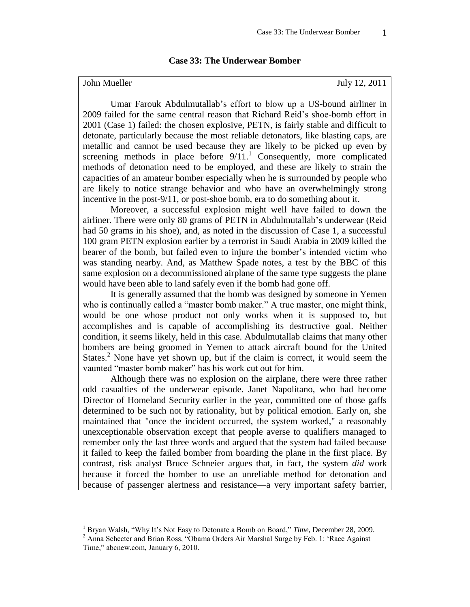## **Case 33: The Underwear Bomber**

 $\overline{a}$ 

John Mueller July 12, 2011

Umar Farouk Abdulmutallab's effort to blow up a US-bound airliner in 2009 failed for the same central reason that Richard Reid's shoe-bomb effort in 2001 (Case 1) failed: the chosen explosive, PETN, is fairly stable and difficult to detonate, particularly because the most reliable detonators, like blasting caps, are metallic and cannot be used because they are likely to be picked up even by screening methods in place before  $9/11$ .<sup>1</sup> Consequently, more complicated methods of detonation need to be employed, and these are likely to strain the capacities of an amateur bomber especially when he is surrounded by people who are likely to notice strange behavior and who have an overwhelmingly strong incentive in the post-9/11, or post-shoe bomb, era to do something about it.

Moreover, a successful explosion might well have failed to down the airliner. There were only 80 grams of PETN in Abdulmutallab's underwear (Reid had 50 grams in his shoe), and, as noted in the discussion of Case 1, a successful 100 gram PETN explosion earlier by a terrorist in Saudi Arabia in 2009 killed the bearer of the bomb, but failed even to injure the bomber's intended victim who was standing nearby. And, as Matthew Spade notes, a test by the BBC of this same explosion on a decommissioned airplane of the same type suggests the plane would have been able to land safely even if the bomb had gone off.

It is generally assumed that the bomb was designed by someone in Yemen who is continually called a "master bomb maker." A true master, one might think, would be one whose product not only works when it is supposed to, but accomplishes and is capable of accomplishing its destructive goal. Neither condition, it seems likely, held in this case. Abdulmutallab claims that many other bombers are being groomed in Yemen to attack aircraft bound for the United States.<sup>2</sup> None have yet shown up, but if the claim is correct, it would seem the vaunted "master bomb maker" has his work cut out for him.

Although there was no explosion on the airplane, there were three rather odd casualties of the underwear episode. Janet Napolitano, who had become Director of Homeland Security earlier in the year, committed one of those gaffs determined to be such not by rationality, but by political emotion. Early on, she maintained that "once the incident occurred, the system worked," a reasonably unexceptionable observation except that people averse to qualifiers managed to remember only the last three words and argued that the system had failed because it failed to keep the failed bomber from boarding the plane in the first place. By contrast, risk analyst Bruce Schneier argues that, in fact, the system *did* work because it forced the bomber to use an unreliable method for detonation and because of passenger alertness and resistance—a very important safety barrier,

<sup>1</sup> Bryan Walsh, "Why It's Not Easy to Detonate a Bomb on Board," *Time*, December 28, 2009.

<sup>&</sup>lt;sup>2</sup> Anna Schecter and Brian Ross, "Obama Orders Air Marshal Surge by Feb. 1: 'Race Against Time," abcnew.com, January 6, 2010.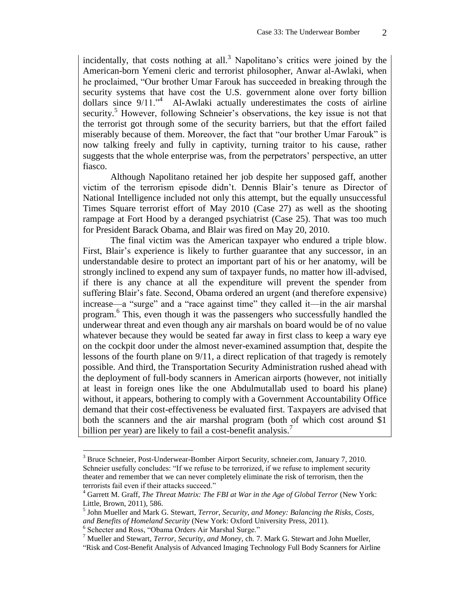incidentally, that costs nothing at all.<sup>3</sup> Napolitano's critics were joined by the American-born Yemeni cleric and terrorist philosopher, Anwar al-Awlaki, when he proclaimed, "Our brother Umar Farouk has succeeded in breaking through the security systems that have cost the U.S. government alone over forty billion dollars since 9/11."<sup>4</sup> Al-Awlaki actually underestimates the costs of airline security.<sup>5</sup> However, following Schneier's observations, the key issue is not that the terrorist got through some of the security barriers, but that the effort failed miserably because of them. Moreover, the fact that "our brother Umar Farouk" is now talking freely and fully in captivity, turning traitor to his cause, rather suggests that the whole enterprise was, from the perpetrators' perspective, an utter fiasco.

Although Napolitano retained her job despite her supposed gaff, another victim of the terrorism episode didn't. Dennis Blair's tenure as Director of National Intelligence included not only this attempt, but the equally unsuccessful Times Square terrorist effort of May 2010 (Case 27) as well as the shooting rampage at Fort Hood by a deranged psychiatrist (Case 25). That was too much for President Barack Obama, and Blair was fired on May 20, 2010.

The final victim was the American taxpayer who endured a triple blow. First, Blair's experience is likely to further guarantee that any successor, in an understandable desire to protect an important part of his or her anatomy, will be strongly inclined to expend any sum of taxpayer funds, no matter how ill-advised, if there is any chance at all the expenditure will prevent the spender from suffering Blair's fate. Second, Obama ordered an urgent (and therefore expensive) increase—a "surge" and a "race against time" they called it—in the air marshal program. 6 This, even though it was the passengers who successfully handled the underwear threat and even though any air marshals on board would be of no value whatever because they would be seated far away in first class to keep a wary eye on the cockpit door under the almost never-examined assumption that, despite the lessons of the fourth plane on 9/11, a direct replication of that tragedy is remotely possible. And third, the Transportation Security Administration rushed ahead with the deployment of full-body scanners in American airports (however, not initially at least in foreign ones like the one Abdulmutallab used to board his plane) without, it appears, bothering to comply with a Government Accountability Office demand that their cost-effectiveness be evaluated first. Taxpayers are advised that both the scanners and the air marshal program (both of which cost around \$1 billion per year) are likely to fail a cost-benefit analysis.<sup>7</sup>

<sup>3</sup> Bruce Schneier, Post-Underwear-Bomber Airport Security, schneier.com, January 7, 2010. Schneier usefully concludes: "If we refuse to be terrorized, if we refuse to implement security theater and remember that we can never completely eliminate the risk of terrorism, then the terrorists fail even if their attacks succeed."

<sup>4</sup> Garrett M. Graff, *The Threat Matrix: The FBI at War in the Age of Global Terror* (New York: Little, Brown, 2011), 586.

<sup>5</sup> John Mueller and Mark G. Stewart, *Terror, Security, and Money: Balancing the Risks, Costs, and Benefits of Homeland Security* (New York: Oxford University Press, 2011).

<sup>6</sup> Schecter and Ross, "Obama Orders Air Marshal Surge."

<sup>7</sup> Mueller and Stewart, *Terror, Security, and Money*, ch. 7. Mark G. Stewart and John Mueller,

<sup>&</sup>quot;Risk and Cost-Benefit Analysis of Advanced Imaging Technology Full Body Scanners for Airline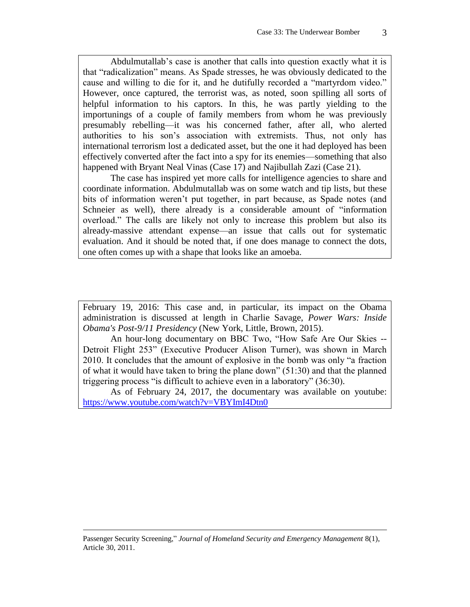Abdulmutallab's case is another that calls into question exactly what it is that "radicalization" means. As Spade stresses, he was obviously dedicated to the cause and willing to die for it, and he dutifully recorded a "martyrdom video." However, once captured, the terrorist was, as noted, soon spilling all sorts of helpful information to his captors. In this, he was partly yielding to the importunings of a couple of family members from whom he was previously presumably rebelling—it was his concerned father, after all, who alerted authorities to his son's association with extremists. Thus, not only has international terrorism lost a dedicated asset, but the one it had deployed has been effectively converted after the fact into a spy for its enemies—something that also happened with Bryant Neal Vinas (Case 17) and Najibullah Zazi (Case 21).

The case has inspired yet more calls for intelligence agencies to share and coordinate information. Abdulmutallab was on some watch and tip lists, but these bits of information weren't put together, in part because, as Spade notes (and Schneier as well), there already is a considerable amount of "information" overload." The calls are likely not only to increase this problem but also its already-massive attendant expense—an issue that calls out for systematic evaluation. And it should be noted that, if one does manage to connect the dots, one often comes up with a shape that looks like an amoeba.

February 19, 2016: This case and, in particular, its impact on the Obama administration is discussed at length in Charlie Savage, *Power Wars: Inside Obama's Post-9/11 Presidency* (New York, Little, Brown, 2015).

An hour-long documentary on BBC Two, "How Safe Are Our Skies -- Detroit Flight 253" (Executive Producer Alison Turner), was shown in March 2010. It concludes that the amount of explosive in the bomb was only "a fraction of what it would have taken to bring the plane down" (51:30) and that the planned triggering process "is difficult to achieve even in a laboratory" (36:30).

As of February 24, 2017, the documentary was available on youtube: https://www.youtube.com/watch?v=VBYImI4Dtn0

Passenger Security Screening," *Journal of Homeland Security and Emergency Management* 8(1), Article 30, 2011.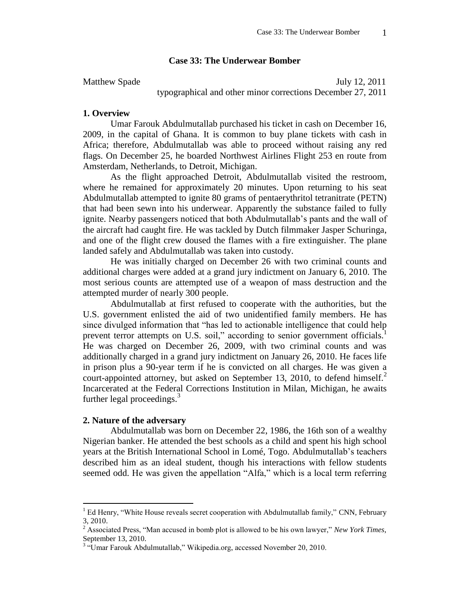## **Case 33: The Underwear Bomber**

Matthew Spade July 12, 2011 typographical and other minor corrections December 27, 2011

#### **1. Overview**

Umar Farouk Abdulmutallab purchased his ticket in cash on December 16, 2009, in the capital of Ghana. It is common to buy plane tickets with cash in Africa; therefore, Abdulmutallab was able to proceed without raising any red flags. On December 25, he boarded Northwest Airlines Flight 253 en route from Amsterdam, Netherlands, to Detroit, Michigan.

As the flight approached Detroit, Abdulmutallab visited the restroom, where he remained for approximately 20 minutes. Upon returning to his seat Abdulmutallab attempted to ignite 80 grams of pentaerythritol tetranitrate (PETN) that had been sewn into his underwear. Apparently the substance failed to fully ignite. Nearby passengers noticed that both Abdulmutallab's pants and the wall of the aircraft had caught fire. He was tackled by Dutch filmmaker Jasper Schuringa, and one of the flight crew doused the flames with a fire extinguisher. The plane landed safely and Abdulmutallab was taken into custody.

He was initially charged on December 26 with two criminal counts and additional charges were added at a grand jury indictment on January 6, 2010. The most serious counts are attempted use of a weapon of mass destruction and the attempted murder of nearly 300 people.

Abdulmutallab at first refused to cooperate with the authorities, but the U.S. government enlisted the aid of two unidentified family members. He has since divulged information that "has led to actionable intelligence that could help prevent terror attempts on U.S. soil," according to senior government officials.<sup>1</sup> He was charged on December 26, 2009, with two criminal counts and was additionally charged in a grand jury indictment on January 26, 2010. He faces life in prison plus a 90-year term if he is convicted on all charges. He was given a court-appointed attorney, but asked on September 13, 2010, to defend himself.<sup>2</sup> Incarcerated at the Federal Corrections Institution in Milan, Michigan, he awaits further legal proceedings. $3$ 

#### **2. Nature of the adversary**

 $\overline{a}$ 

Abdulmutallab was born on December 22, 1986, the 16th son of a wealthy Nigerian banker. He attended the best schools as a child and spent his high school years at the British International School in Lomé, Togo. Abdulmutallab's teachers described him as an ideal student, though his interactions with fellow students seemed odd. He was given the appellation "Alfa," which is a local term referring

 $<sup>1</sup>$  Ed Henry, "White House reveals secret cooperation with Abdulmutallab family," CNN, February</sup> 3, 2010.

<sup>&</sup>lt;sup>2</sup> Associated Press, "Man accused in bomb plot is allowed to be his own lawyer," *New York Times*, September 13, 2010.

<sup>&</sup>lt;sup>3</sup> "Umar Farouk Abdulmutallab," Wikipedia.org, accessed November 20, 2010.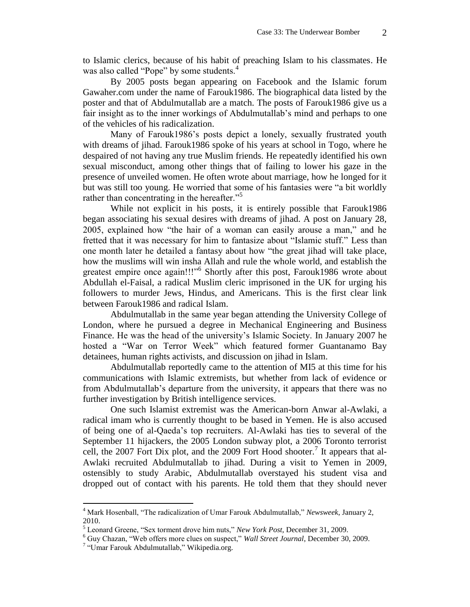to Islamic clerics, because of his habit of preaching Islam to his classmates. He was also called "Pope" by some students.<sup>4</sup>

By 2005 posts began appearing on Facebook and the Islamic forum Gawaher.com under the name of Farouk1986. The biographical data listed by the poster and that of Abdulmutallab are a match. The posts of Farouk1986 give us a fair insight as to the inner workings of Abdulmutallab's mind and perhaps to one of the vehicles of his radicalization.

Many of Farouk1986's posts depict a lonely, sexually frustrated youth with dreams of jihad. Farouk1986 spoke of his years at school in Togo, where he despaired of not having any true Muslim friends. He repeatedly identified his own sexual misconduct, among other things that of failing to lower his gaze in the presence of unveiled women. He often wrote about marriage, how he longed for it but was still too young. He worried that some of his fantasies were "a bit worldly rather than concentrating in the hereafter."<sup>5</sup>

While not explicit in his posts, it is entirely possible that Farouk1986 began associating his sexual desires with dreams of jihad. A post on January 28, 2005, explained how "the hair of a woman can easily arouse a man," and he fretted that it was necessary for him to fantasize about "Islamic stuff." Less than one month later he detailed a fantasy about how "the great jihad will take place, how the muslims will win insha Allah and rule the whole world, and establish the greatest empire once again!!!"<sup>6</sup> Shortly after this post, Farouk1986 wrote about Abdullah el-Faisal, a radical Muslim cleric imprisoned in the UK for urging his followers to murder Jews, Hindus, and Americans. This is the first clear link between Farouk1986 and radical Islam.

Abdulmutallab in the same year began attending the University College of London, where he pursued a degree in Mechanical Engineering and Business Finance. He was the head of the university's Islamic Society. In January 2007 he hosted a "War on Terror Week" which featured former Guantanamo Bay detainees, human rights activists, and discussion on jihad in Islam.

Abdulmutallab reportedly came to the attention of MI5 at this time for his communications with Islamic extremists, but whether from lack of evidence or from Abdulmutallab's departure from the university, it appears that there was no further investigation by British intelligence services.

One such Islamist extremist was the American-born Anwar al-Awlaki, a radical imam who is currently thought to be based in Yemen. He is also accused of being one of al-Qaeda's top recruiters. Al-Awlaki has ties to several of the September 11 hijackers, the 2005 London subway plot, a 2006 Toronto terrorist cell, the 2007 Fort Dix plot, and the 2009 Fort Hood shooter.<sup>7</sup> It appears that al-Awlaki recruited Abdulmutallab to jihad. During a visit to Yemen in 2009, ostensibly to study Arabic, Abdulmutallab overstayed his student visa and dropped out of contact with his parents. He told them that they should never

<sup>4</sup> Mark Hosenball, "The radicalization of Umar Farouk Abdulmutallab," *Newsweek*, January 2, 2010.

<sup>5</sup> Leonard Greene, "Sex torment drove him nuts," *New York Post*, December 31, 2009.

<sup>6</sup> Guy Chazan, "Web offers more clues on suspect," *Wall Street Journal*, December 30, 2009.

<sup>&</sup>lt;sup>7</sup> "Umar Farouk Abdulmutallab," Wikipedia.org.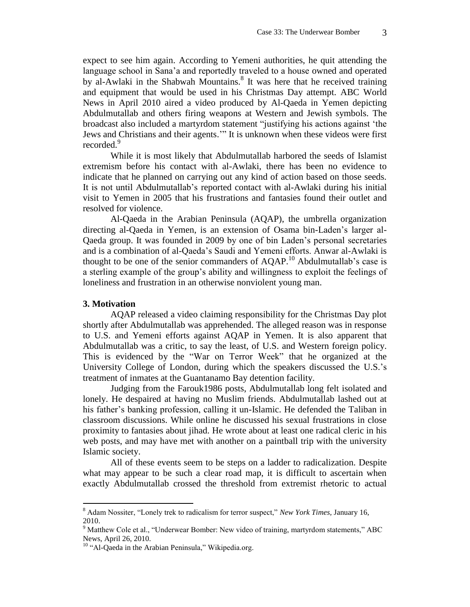expect to see him again. According to Yemeni authorities, he quit attending the language school in Sana'a and reportedly traveled to a house owned and operated by al-Awlaki in the Shabwah Mountains.<sup>8</sup> It was here that he received training and equipment that would be used in his Christmas Day attempt. ABC World News in April 2010 aired a video produced by Al-Qaeda in Yemen depicting Abdulmutallab and others firing weapons at Western and Jewish symbols. The broadcast also included a martyrdom statement "justifying his actions against 'the Jews and Christians and their agents.'" It is unknown when these videos were first recorded.<sup>9</sup>

While it is most likely that Abdulmutallab harbored the seeds of Islamist extremism before his contact with al-Awlaki, there has been no evidence to indicate that he planned on carrying out any kind of action based on those seeds. It is not until Abdulmutallab's reported contact with al-Awlaki during his initial visit to Yemen in 2005 that his frustrations and fantasies found their outlet and resolved for violence.

Al-Qaeda in the Arabian Peninsula (AQAP), the umbrella organization directing al-Qaeda in Yemen, is an extension of Osama bin-Laden's larger al-Qaeda group. It was founded in 2009 by one of bin Laden's personal secretaries and is a combination of al-Qaeda's Saudi and Yemeni efforts. Anwar al-Awlaki is thought to be one of the senior commanders of  $AQAP$ <sup>10</sup> Abdulmutallab's case is a sterling example of the group's ability and willingness to exploit the feelings of loneliness and frustration in an otherwise nonviolent young man.

## **3. Motivation**

 $\overline{a}$ 

AQAP released a video claiming responsibility for the Christmas Day plot shortly after Abdulmutallab was apprehended. The alleged reason was in response to U.S. and Yemeni efforts against AQAP in Yemen. It is also apparent that Abdulmutallab was a critic, to say the least, of U.S. and Western foreign policy. This is evidenced by the "War on Terror Week" that he organized at the University College of London, during which the speakers discussed the U.S.'s treatment of inmates at the Guantanamo Bay detention facility.

Judging from the Farouk1986 posts, Abdulmutallab long felt isolated and lonely. He despaired at having no Muslim friends. Abdulmutallab lashed out at his father's banking profession, calling it un-Islamic. He defended the Taliban in classroom discussions. While online he discussed his sexual frustrations in close proximity to fantasies about jihad. He wrote about at least one radical cleric in his web posts, and may have met with another on a paintball trip with the university Islamic society.

All of these events seem to be steps on a ladder to radicalization. Despite what may appear to be such a clear road map, it is difficult to ascertain when exactly Abdulmutallab crossed the threshold from extremist rhetoric to actual

<sup>8</sup> Adam Nossiter, "Lonely trek to radicalism for terror suspect," *New York Times,* January 16, 2010.

<sup>&</sup>lt;sup>9</sup> Matthew Cole et al., "Underwear Bomber: New video of training, martyrdom statements," ABC News, April 26, 2010.

<sup>&</sup>lt;sup>10</sup> "Al-Qaeda in the Arabian Peninsula," Wikipedia.org.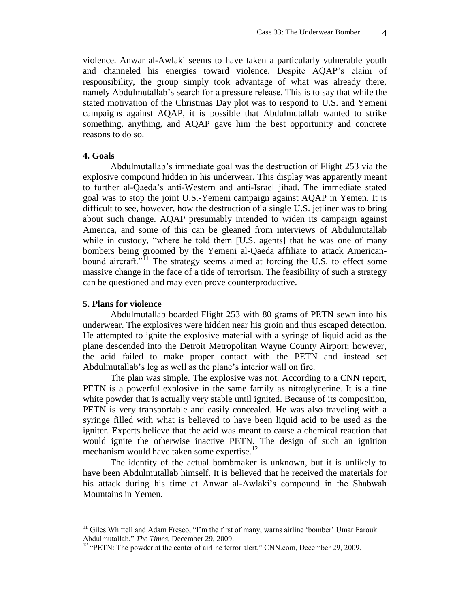violence. Anwar al-Awlaki seems to have taken a particularly vulnerable youth and channeled his energies toward violence. Despite AQAP's claim of responsibility, the group simply took advantage of what was already there, namely Abdulmutallab's search for a pressure release. This is to say that while the stated motivation of the Christmas Day plot was to respond to U.S. and Yemeni campaigns against AQAP, it is possible that Abdulmutallab wanted to strike something, anything, and AQAP gave him the best opportunity and concrete reasons to do so.

## **4. Goals**

Abdulmutallab's immediate goal was the destruction of Flight 253 via the explosive compound hidden in his underwear. This display was apparently meant to further al-Qaeda's anti-Western and anti-Israel jihad. The immediate stated goal was to stop the joint U.S.-Yemeni campaign against AQAP in Yemen. It is difficult to see, however, how the destruction of a single U.S. jetliner was to bring about such change. AQAP presumably intended to widen its campaign against America, and some of this can be gleaned from interviews of Abdulmutallab while in custody, "where he told them [U.S. agents] that he was one of many bombers being groomed by the Yemeni al-Qaeda affiliate to attack Americanbound aircraft."<sup>I1</sup> The strategy seems aimed at forcing the U.S. to effect some massive change in the face of a tide of terrorism. The feasibility of such a strategy can be questioned and may even prove counterproductive.

# **5. Plans for violence**

 $\overline{a}$ 

Abdulmutallab boarded Flight 253 with 80 grams of PETN sewn into his underwear. The explosives were hidden near his groin and thus escaped detection. He attempted to ignite the explosive material with a syringe of liquid acid as the plane descended into the Detroit Metropolitan Wayne County Airport; however, the acid failed to make proper contact with the PETN and instead set Abdulmutallab's leg as well as the plane's interior wall on fire.

The plan was simple. The explosive was not. According to a CNN report, PETN is a powerful explosive in the same family as nitroglycerine. It is a fine white powder that is actually very stable until ignited. Because of its composition, PETN is very transportable and easily concealed. He was also traveling with a syringe filled with what is believed to have been liquid acid to be used as the igniter. Experts believe that the acid was meant to cause a chemical reaction that would ignite the otherwise inactive PETN. The design of such an ignition mechanism would have taken some expertise.<sup>12</sup>

The identity of the actual bombmaker is unknown, but it is unlikely to have been Abdulmutallab himself. It is believed that he received the materials for his attack during his time at Anwar al-Awlaki's compound in the Shabwah Mountains in Yemen.

 $<sup>11</sup>$  Giles Whittell and Adam Fresco, "I'm the first of many, warns airline 'bomber' Umar Farouk</sup> Abdulmutallab," *The Times*, December 29, 2009.

<sup>&</sup>lt;sup>12</sup> "PETN: The powder at the center of airline terror alert," CNN.com, December 29, 2009.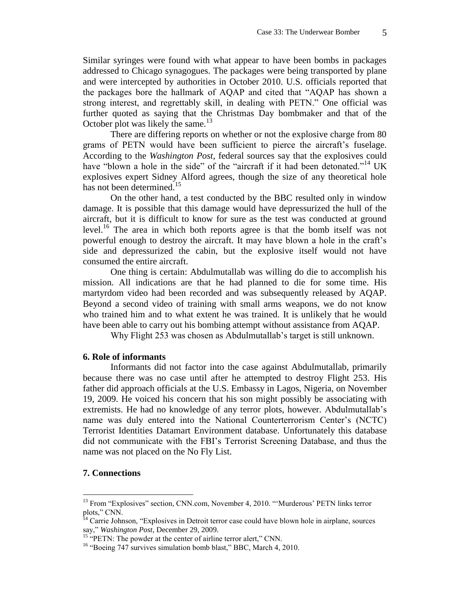Similar syringes were found with what appear to have been bombs in packages addressed to Chicago synagogues. The packages were being transported by plane and were intercepted by authorities in October 2010. U.S. officials reported that the packages bore the hallmark of AQAP and cited that "AQAP has shown a strong interest, and regrettably skill, in dealing with PETN." One official was further quoted as saying that the Christmas Day bombmaker and that of the October plot was likely the same. $^{13}$ 

There are differing reports on whether or not the explosive charge from 80 grams of PETN would have been sufficient to pierce the aircraft's fuselage. According to the *Washington Post*, federal sources say that the explosives could have "blown a hole in the side" of the "aircraft if it had been detonated."<sup>14</sup> UK explosives expert Sidney Alford agrees, though the size of any theoretical hole has not been determined.<sup>15</sup>

On the other hand, a test conducted by the BBC resulted only in window damage. It is possible that this damage would have depressurized the hull of the aircraft, but it is difficult to know for sure as the test was conducted at ground level.<sup>16</sup> The area in which both reports agree is that the bomb itself was not powerful enough to destroy the aircraft. It may have blown a hole in the craft's side and depressurized the cabin, but the explosive itself would not have consumed the entire aircraft.

One thing is certain: Abdulmutallab was willing do die to accomplish his mission. All indications are that he had planned to die for some time. His martyrdom video had been recorded and was subsequently released by AQAP. Beyond a second video of training with small arms weapons, we do not know who trained him and to what extent he was trained. It is unlikely that he would have been able to carry out his bombing attempt without assistance from AQAP.

Why Flight 253 was chosen as Abdulmutallab's target is still unknown.

# **6. Role of informants**

Informants did not factor into the case against Abdulmutallab, primarily because there was no case until after he attempted to destroy Flight 253. His father did approach officials at the U.S. Embassy in Lagos, Nigeria, on November 19, 2009. He voiced his concern that his son might possibly be associating with extremists. He had no knowledge of any terror plots, however. Abdulmutallab's name was duly entered into the National Counterterrorism Center's (NCTC) Terrorist Identities Datamart Environment database. Unfortunately this database did not communicate with the FBI's Terrorist Screening Database, and thus the name was not placed on the No Fly List.

# **7. Connections**

<sup>&</sup>lt;sup>13</sup> From "Explosives" section, CNN.com, November 4, 2010. "'Murderous' PETN links terror plots," CNN.

<sup>&</sup>lt;sup>14</sup> Carrie Johnson, "Explosives in Detroit terror case could have blown hole in airplane, sources say," *Washington Post*, December 29, 2009.

<sup>&</sup>lt;sup>15</sup> "PETN: The powder at the center of airline terror alert," CNN.

<sup>&</sup>lt;sup>16</sup> "Boeing 747 survives simulation bomb blast," BBC, March 4, 2010.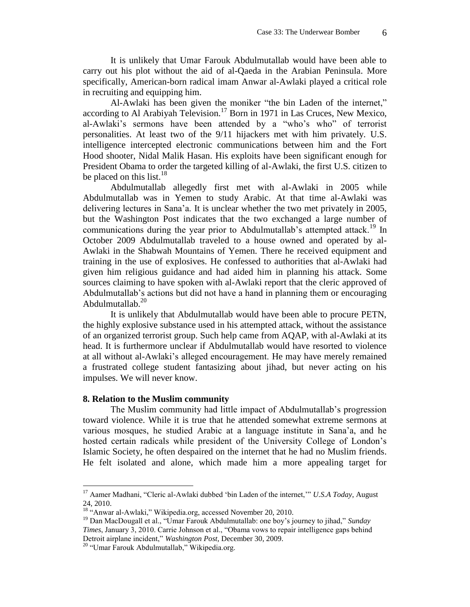It is unlikely that Umar Farouk Abdulmutallab would have been able to carry out his plot without the aid of al-Qaeda in the Arabian Peninsula. More specifically, American-born radical imam Anwar al-Awlaki played a critical role in recruiting and equipping him.

Al-Awlaki has been given the moniker "the bin Laden of the internet," according to Al Arabiyah Television.<sup>17</sup> Born in 1971 in Las Cruces, New Mexico, al-Awlaki's sermons have been attended by a "who's who" of terrorist personalities. At least two of the 9/11 hijackers met with him privately. U.S. intelligence intercepted electronic communications between him and the Fort Hood shooter, Nidal Malik Hasan. His exploits have been significant enough for President Obama to order the targeted killing of al-Awlaki, the first U.S. citizen to be placed on this list.<sup>18</sup>

Abdulmutallab allegedly first met with al-Awlaki in 2005 while Abdulmutallab was in Yemen to study Arabic. At that time al-Awlaki was delivering lectures in Sana'a. It is unclear whether the two met privately in 2005, but the Washington Post indicates that the two exchanged a large number of communications during the year prior to Abdulmutallab's attempted attack.<sup>19</sup> In October 2009 Abdulmutallab traveled to a house owned and operated by al-Awlaki in the Shabwah Mountains of Yemen. There he received equipment and training in the use of explosives. He confessed to authorities that al-Awlaki had given him religious guidance and had aided him in planning his attack. Some sources claiming to have spoken with al-Awlaki report that the cleric approved of Abdulmutallab's actions but did not have a hand in planning them or encouraging Abdulmutallab.<sup>20</sup>

It is unlikely that Abdulmutallab would have been able to procure PETN, the highly explosive substance used in his attempted attack, without the assistance of an organized terrorist group. Such help came from AQAP, with al-Awlaki at its head. It is furthermore unclear if Abdulmutallab would have resorted to violence at all without al-Awlaki's alleged encouragement. He may have merely remained a frustrated college student fantasizing about jihad, but never acting on his impulses. We will never know.

#### **8. Relation to the Muslim community**

The Muslim community had little impact of Abdulmutallab's progression toward violence. While it is true that he attended somewhat extreme sermons at various mosques, he studied Arabic at a language institute in Sana'a, and he hosted certain radicals while president of the University College of London's Islamic Society, he often despaired on the internet that he had no Muslim friends. He felt isolated and alone, which made him a more appealing target for

<sup>17</sup> Aamer Madhani, "Cleric al-Awlaki dubbed 'bin Laden of the internet,'" *U.S.A Today*, August 24, 2010.

<sup>&</sup>lt;sup>18</sup> "Anwar al-Awlaki," Wikipedia.org, accessed November 20, 2010.

<sup>19</sup> Dan MacDougall et al., "Umar Farouk Abdulmutallab: one boy's journey to jihad," *Sunday Times*, January 3, 2010. Carrie Johnson et al., "Obama vows to repair intelligence gaps behind Detroit airplane incident," *Washington Post,* December 30, 2009.

<sup>&</sup>lt;sup>20</sup> "Umar Farouk Abdulmutallab," Wikipedia.org.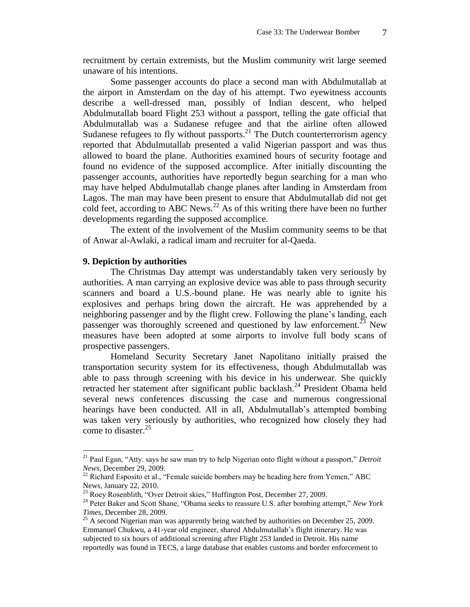recruitment by certain extremists, but the Muslim community writ large seemed unaware of his intentions.

Some passenger accounts do place a second man with Abdulmutallab at the airport in Amsterdam on the day of his attempt. Two eyewitness accounts describe a well-dressed man, possibly of Indian descent, who helped Abdulmutallab board Flight 253 without a passport, telling the gate official that Abdulmutallab was a Sudanese refugee and that the airline often allowed Sudanese refugees to fly without passports. $2^{1}$  The Dutch counterterrorism agency reported that Abdulmutallab presented a valid Nigerian passport and was thus allowed to board the plane. Authorities examined hours of security footage and found no evidence of the supposed accomplice. After initially discounting the passenger accounts, authorities have reportedly begun searching for a man who may have helped Abdulmutallab change planes after landing in Amsterdam from Lagos. The man may have been present to ensure that Abdulmutallab did not get cold feet, according to ABC News.<sup>22</sup> As of this writing there have been no further developments regarding the supposed accomplice.

The extent of the involvement of the Muslim community seems to be that of Anwar al-Awlaki, a radical imam and recruiter for al-Qaeda.

## **9. Depiction by authorities**

 $\overline{a}$ 

The Christmas Day attempt was understandably taken very seriously by authorities. A man carrying an explosive device was able to pass through security scanners and board a U.S.-bound plane. He was nearly able to ignite his explosives and perhaps bring down the aircraft. He was apprehended by a neighboring passenger and by the flight crew. Following the plane's landing, each passenger was thoroughly screened and questioned by law enforcement.<sup>23</sup> New measures have been adopted at some airports to involve full body scans of prospective passengers.

Homeland Security Secretary Janet Napolitano initially praised the transportation security system for its effectiveness, though Abdulmutallab was able to pass through screening with his device in his underwear. She quickly retracted her statement after significant public backlash.<sup>24</sup> President Obama held several news conferences discussing the case and numerous congressional hearings have been conducted. All in all, Abdulmutallab's attempted bombing was taken very seriously by authorities, who recognized how closely they had come to disaster. 25

<sup>21</sup> Paul Egan, "Atty. says he saw man try to help Nigerian onto flight without a passport," *Detroit News*, December 29, 2009.

 $^{22}$  Richard Esposito et al., "Female suicide bombers may be heading here from Yemen," ABC News*,* January 22, 2010.

<sup>23</sup> Roey Rosenblith, "Over Detroit skies," Huffington Post*,* December 27, 2009.

<sup>24</sup> Peter Baker and Scott Shane, "Obama seeks to reassure U.S. after bombing attempt," *New York Times*, December 28, 2009.

 $25$  A second Nigerian man was apparently being watched by authorities on December 25, 2009. Emmanuel Chukwu, a 41-year old engineer, shared Abdulmutallab's flight itinerary. He was subjected to six hours of additional screening after Flight 253 landed in Detroit. His name reportedly was found in TECS, a large database that enables customs and border enforcement to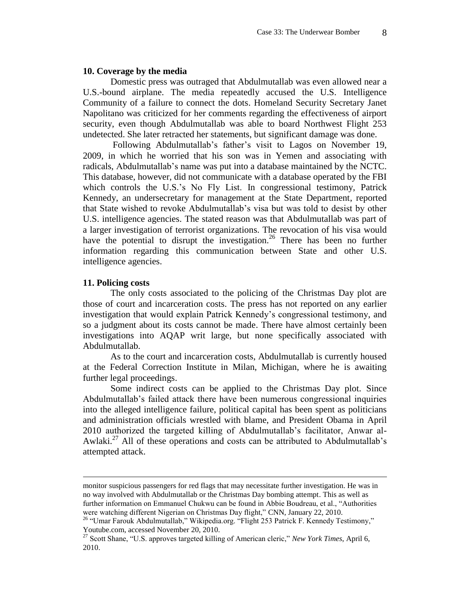## **10. Coverage by the media**

Domestic press was outraged that Abdulmutallab was even allowed near a U.S.-bound airplane. The media repeatedly accused the U.S. Intelligence Community of a failure to connect the dots. Homeland Security Secretary Janet Napolitano was criticized for her comments regarding the effectiveness of airport security, even though Abdulmutallab was able to board Northwest Flight 253 undetected. She later retracted her statements, but significant damage was done.

Following Abdulmutallab's father's visit to Lagos on November 19, 2009, in which he worried that his son was in Yemen and associating with radicals, Abdulmutallab's name was put into a database maintained by the NCTC. This database, however, did not communicate with a database operated by the FBI which controls the U.S.'s No Fly List. In congressional testimony, Patrick Kennedy, an undersecretary for management at the State Department, reported that State wished to revoke Abdulmutallab's visa but was told to desist by other U.S. intelligence agencies. The stated reason was that Abdulmutallab was part of a larger investigation of terrorist organizations. The revocation of his visa would have the potential to disrupt the investigation.<sup>26</sup> There has been no further information regarding this communication between State and other U.S. intelligence agencies.

## **11. Policing costs**

 $\overline{a}$ 

The only costs associated to the policing of the Christmas Day plot are those of court and incarceration costs. The press has not reported on any earlier investigation that would explain Patrick Kennedy's congressional testimony, and so a judgment about its costs cannot be made. There have almost certainly been investigations into AQAP writ large, but none specifically associated with Abdulmutallab.

As to the court and incarceration costs, Abdulmutallab is currently housed at the Federal Correction Institute in Milan, Michigan, where he is awaiting further legal proceedings.

Some indirect costs can be applied to the Christmas Day plot. Since Abdulmutallab's failed attack there have been numerous congressional inquiries into the alleged intelligence failure, political capital has been spent as politicians and administration officials wrestled with blame, and President Obama in April 2010 authorized the targeted killing of Abdulmutallab's facilitator, Anwar al-Awlaki.<sup>27</sup> All of these operations and costs can be attributed to Abdulmutallab's attempted attack.

monitor suspicious passengers for red flags that may necessitate further investigation. He was in no way involved with Abdulmutallab or the Christmas Day bombing attempt. This as well as further information on Emmanuel Chukwu can be found in Abbie Boudreau, et al., "Authorities were watching different Nigerian on Christmas Day flight," CNN, January 22, 2010.

<sup>&</sup>lt;sup>26</sup> "Umar Farouk Abdulmutallab," Wikipedia.org. "Flight 253 Patrick F. Kennedy Testimony," Youtube.com, accessed November 20, 2010.

<sup>27</sup> Scott Shane, "U.S. approves targeted killing of American cleric," *New York Times*, April 6, 2010.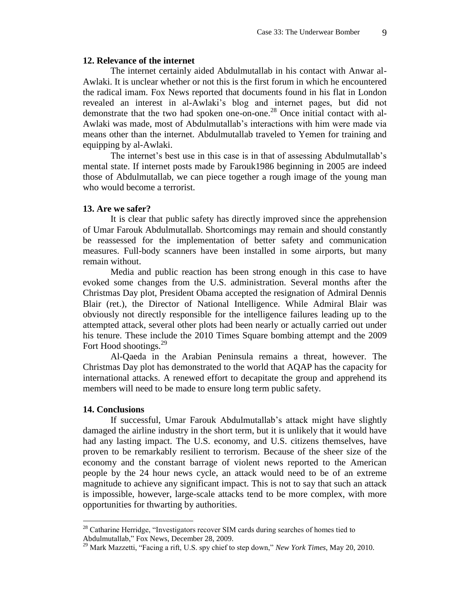## **12. Relevance of the internet**

The internet certainly aided Abdulmutallab in his contact with Anwar al-Awlaki. It is unclear whether or not this is the first forum in which he encountered the radical imam. Fox News reported that documents found in his flat in London revealed an interest in al-Awlaki's blog and internet pages, but did not demonstrate that the two had spoken one-on-one.<sup>28</sup> Once initial contact with al-Awlaki was made, most of Abdulmutallab's interactions with him were made via means other than the internet. Abdulmutallab traveled to Yemen for training and equipping by al-Awlaki.

The internet's best use in this case is in that of assessing Abdulmutallab's mental state. If internet posts made by Farouk1986 beginning in 2005 are indeed those of Abdulmutallab, we can piece together a rough image of the young man who would become a terrorist.

## **13. Are we safer?**

It is clear that public safety has directly improved since the apprehension of Umar Farouk Abdulmutallab. Shortcomings may remain and should constantly be reassessed for the implementation of better safety and communication measures. Full-body scanners have been installed in some airports, but many remain without.

Media and public reaction has been strong enough in this case to have evoked some changes from the U.S. administration. Several months after the Christmas Day plot, President Obama accepted the resignation of Admiral Dennis Blair (ret.), the Director of National Intelligence. While Admiral Blair was obviously not directly responsible for the intelligence failures leading up to the attempted attack, several other plots had been nearly or actually carried out under his tenure. These include the 2010 Times Square bombing attempt and the 2009 Fort Hood shootings.<sup>29</sup>

Al-Qaeda in the Arabian Peninsula remains a threat, however. The Christmas Day plot has demonstrated to the world that AQAP has the capacity for international attacks. A renewed effort to decapitate the group and apprehend its members will need to be made to ensure long term public safety.

## **14. Conclusions**

 $\overline{a}$ 

If successful, Umar Farouk Abdulmutallab's attack might have slightly damaged the airline industry in the short term, but it is unlikely that it would have had any lasting impact. The U.S. economy, and U.S. citizens themselves, have proven to be remarkably resilient to terrorism. Because of the sheer size of the economy and the constant barrage of violent news reported to the American people by the 24 hour news cycle, an attack would need to be of an extreme magnitude to achieve any significant impact. This is not to say that such an attack is impossible, however, large-scale attacks tend to be more complex, with more opportunities for thwarting by authorities.

 $28$  Catharine Herridge, "Investigators recover SIM cards during searches of homes tied to Abdulmutallab," Fox News, December 28, 2009.

<sup>29</sup> Mark Mazzetti, "Facing a rift, U.S. spy chief to step down," *New York Times*, May 20, 2010.